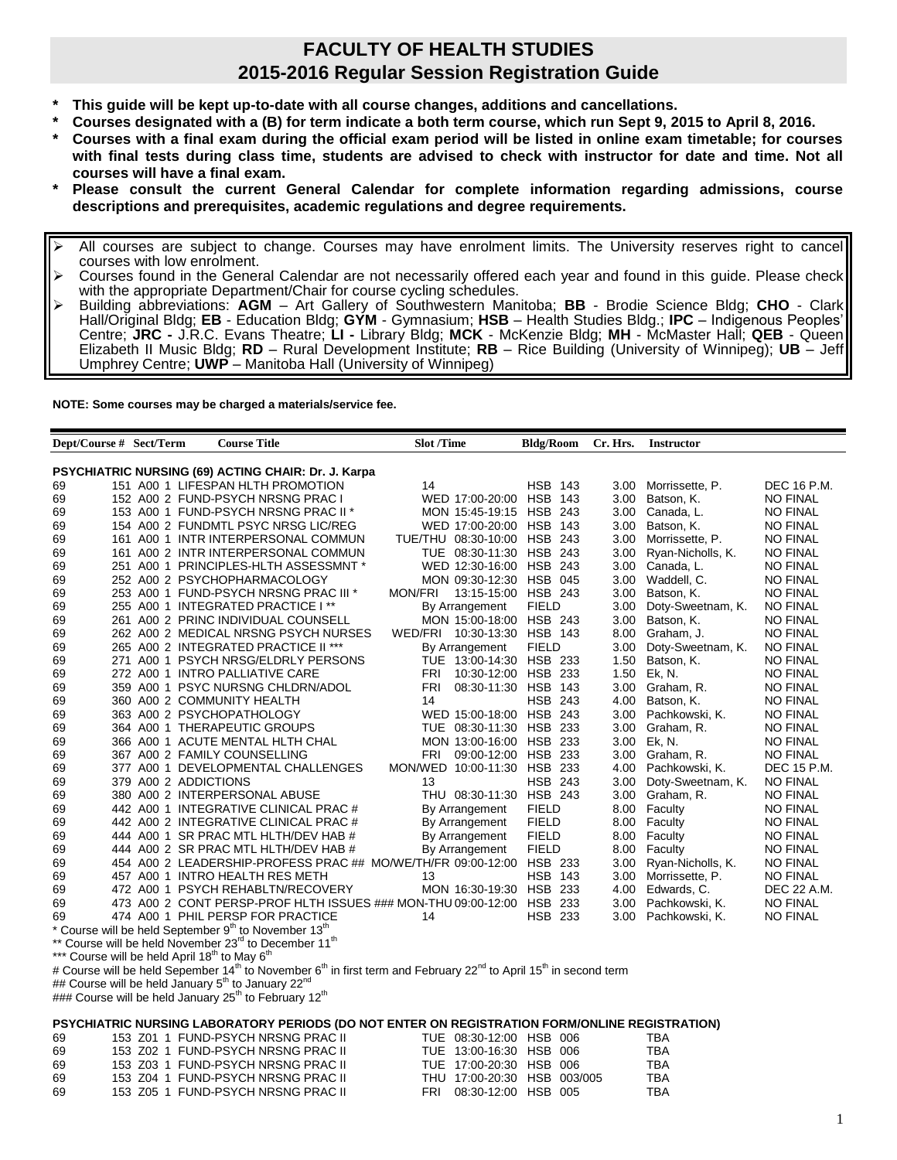## **FACULTY OF HEALTH STUDIES 2015-2016 Regular Session Registration Guide**

- **\* This guide will be kept up-to-date with all course changes, additions and cancellations.**
- **\* Courses designated with a (B) for term indicate a both term course, which run Sept 9, 2015 to April 8, 2016.**
- **\* Courses with a final exam during the official exam period will be listed in online exam timetable; for courses with final tests during class time, students are advised to check with instructor for date and time. Not all courses will have a final exam.**
- **\* Please consult the current General Calendar for complete information regarding admissions, course descriptions and prerequisites, academic regulations and degree requirements.**
- All courses are subject to change. Courses may have enrolment limits. The University reserves right to cancel courses with low enrolment.
- $\triangleright$  Courses found in the General Calendar are not necessarily offered each year and found in this guide. Please check with the appropriate Department/Chair for course cycling schedules.
- Building abbreviations: **AGM** Art Gallery of Southwestern Manitoba; **BB** Brodie Science Bldg; **CHO** Clark Hall/Original Bldg; **EB** - Education Bldg; **GYM** - Gymnasium; **HSB** – Health Studies Bldg.; **IPC** – Indigenous Peoples' Centre; **JRC -** J.R.C. Evans Theatre; **LI -** Library Bldg; **MCK** - McKenzie Bldg; **MH** - McMaster Hall; **QEB** - Queen Elizabeth II Music Bldg; **RD** – Rural Development Institute; **RB** – Rice Building (University of Winnipeg); **UB** – Jeff Umphrey Centre; **UWP** – Manitoba Hall (University of Winnipeg)

**NOTE: Some courses may be charged a materials/service fee.**

| Dept/Course # Sect/Term                                                                                                                                          |                      | <b>Course Title</b>                                                   | <b>Slot /Time</b>                     | <b>Bldg/Room</b> | Cr. Hrs.          | Instructor          |                 |  |
|------------------------------------------------------------------------------------------------------------------------------------------------------------------|----------------------|-----------------------------------------------------------------------|---------------------------------------|------------------|-------------------|---------------------|-----------------|--|
|                                                                                                                                                                  |                      |                                                                       |                                       |                  |                   |                     |                 |  |
| PSYCHIATRIC NURSING (69) ACTING CHAIR: Dr. J. Karpa                                                                                                              |                      |                                                                       |                                       |                  |                   |                     |                 |  |
| 69                                                                                                                                                               |                      | 151 A00 1 LIFESPAN HLTH PROMOTION                                     | 14                                    | <b>HSB 143</b>   | 3.00              | Morrissette, P.     | DEC 16 P.M.     |  |
| 69                                                                                                                                                               |                      | 152 A00 2 FUND-PSYCH NRSNG PRAC I                                     | WED 17:00-20:00 HSB 143               |                  | 3.00              | Batson, K.          | <b>NO FINAL</b> |  |
| 69                                                                                                                                                               |                      | 153 A00 1 FUND-PSYCH NRSNG PRAC II *                                  | MON 15:45-19:15 HSB 243               |                  |                   | 3.00 Canada, L.     | <b>NO FINAL</b> |  |
| 69                                                                                                                                                               |                      | 154 A00 2 FUNDMTL PSYC NRSG LIC/REG                                   | WED 17:00-20:00 HSB 143               |                  | 3.00              | Batson, K.          | <b>NO FINAL</b> |  |
| 69                                                                                                                                                               |                      | 161 A00 1 INTR INTERPERSONAL COMMUN                                   | TUE/THU 08:30-10:00 HSB 243           |                  | 3.00              | Morrissette, P.     | <b>NO FINAL</b> |  |
| 69                                                                                                                                                               |                      | 161 A00 2 INTR INTERPERSONAL COMMUN                                   | TUE 08:30-11:30 HSB 243               |                  | 3.00              | Ryan-Nicholls, K.   | <b>NO FINAL</b> |  |
| 69                                                                                                                                                               |                      | 251 A00 1 PRINCIPLES-HLTH ASSESSMNT *                                 | WED 12:30-16:00 HSB 243               |                  |                   | 3.00 Canada, L.     | <b>NO FINAL</b> |  |
| 69                                                                                                                                                               |                      | 252 A00 2 PSYCHOPHARMACOLOGY                                          | MON 09:30-12:30 HSB 045               |                  |                   | 3.00 Waddell, C.    | <b>NO FINAL</b> |  |
| 69                                                                                                                                                               |                      | 253 A00 1 FUND-PSYCH NRSNG PRAC III *                                 | <b>MON/FRI</b><br>13:15-15:00 HSB 243 |                  | 3.00 <sub>1</sub> | Batson, K.          | <b>NO FINAL</b> |  |
| 69                                                                                                                                                               |                      | 255 A00 1 INTEGRATED PRACTICE I **                                    | By Arrangement                        | <b>FIELD</b>     | 3.00              | Doty-Sweetnam, K.   | <b>NO FINAL</b> |  |
| 69                                                                                                                                                               |                      | 261 A00 2 PRINC INDIVIDUAL COUNSELL                                   | MON 15:00-18:00 HSB 243               |                  | 3.00 <sub>1</sub> | Batson, K.          | <b>NO FINAL</b> |  |
| 69                                                                                                                                                               |                      | 262 A00 2 MEDICAL NRSNG PSYCH NURSES                                  | WED/FRI 10:30-13:30 HSB 143           |                  | 8.00              | Graham, J.          | <b>NO FINAL</b> |  |
| 69                                                                                                                                                               |                      | 265 A00 2 INTEGRATED PRACTICE II ***                                  | By Arrangement                        | <b>FIELD</b>     | 3.00              | Doty-Sweetnam, K.   | <b>NO FINAL</b> |  |
| 69                                                                                                                                                               |                      | 271 A00 1 PSYCH NRSG/ELDRLY PERSONS                                   | TUE 13:00-14:30 HSB 233               |                  | 1.50              | Batson, K.          | <b>NO FINAL</b> |  |
| 69                                                                                                                                                               |                      | 272 A00 1 INTRO PALLIATIVE CARE                                       | 10:30-12:00 HSB 233<br>FRI            |                  | 1.50              | Ek, N.              | <b>NO FINAL</b> |  |
| 69                                                                                                                                                               |                      | 359 A00 1 PSYC NURSNG CHLDRN/ADOL                                     | FRI<br>08:30-11:30 HSB 143            |                  | 3.00              | Graham, R.          | <b>NO FINAL</b> |  |
| 69                                                                                                                                                               |                      | 360 A00 2 COMMUNITY HEALTH                                            | 14                                    | <b>HSB 243</b>   |                   | 4.00 Batson, K.     | <b>NO FINAL</b> |  |
| 69                                                                                                                                                               |                      | 363 A00 2 PSYCHOPATHOLOGY                                             | WED 15:00-18:00 HSB 243               |                  |                   | 3.00 Pachkowski, K. | <b>NO FINAL</b> |  |
| 69                                                                                                                                                               |                      | 364 A00 1 THERAPEUTIC GROUPS                                          | TUE 08:30-11:30 HSB 233               |                  | 3.00              | Graham, R.          | <b>NO FINAL</b> |  |
| 69                                                                                                                                                               |                      | 366 A00 1 ACUTE MENTAL HLTH CHAL                                      | MON 13:00-16:00 HSB 233               |                  | 3.00              | Ek, N.              | <b>NO FINAL</b> |  |
| 69                                                                                                                                                               |                      | 367 A00 2 FAMILY COUNSELLING                                          | FRI<br>09:00-12:00                    | <b>HSB 233</b>   | 3.00              | Graham, R.          | <b>NO FINAL</b> |  |
| 69                                                                                                                                                               |                      | 377 A00 1 DEVELOPMENTAL CHALLENGES                                    | MON/WED 10:00-11:30 HSB 233           |                  | 4.00              | Pachkowski, K.      | DEC 15 P.M.     |  |
| 69                                                                                                                                                               | 379 A00 2 ADDICTIONS |                                                                       | 13                                    | <b>HSB 243</b>   | 3.00              | Doty-Sweetnam, K.   | <b>NO FINAL</b> |  |
| 69                                                                                                                                                               |                      | 380 A00 2 INTERPERSONAL ABUSE                                         | THU 08:30-11:30 HSB 243               |                  | 3.00 <sub>1</sub> | Graham, R.          | <b>NO FINAL</b> |  |
| 69                                                                                                                                                               |                      | 442 A00 1 INTEGRATIVE CLINICAL PRAC #                                 | By Arrangement                        | <b>FIELD</b>     | 8.00              | Faculty             | <b>NO FINAL</b> |  |
| 69                                                                                                                                                               |                      | 442 A00 2 INTEGRATIVE CLINICAL PRAC #                                 | By Arrangement                        | <b>FIELD</b>     | 8.00              | Faculty             | <b>NO FINAL</b> |  |
| 69                                                                                                                                                               |                      | 444 A00 1 SR PRAC MTL HLTH/DEV HAB #                                  | By Arrangement                        | <b>FIELD</b>     | 8.00              | Faculty             | <b>NO FINAL</b> |  |
| 69                                                                                                                                                               |                      | 444 A00 2 SR PRAC MTL HLTH/DEV HAB #                                  | By Arrangement                        | <b>FIELD</b>     | 8.00              | Faculty             | <b>NO FINAL</b> |  |
| 69                                                                                                                                                               |                      | 454 A00 2 LEADERSHIP-PROFESS PRAC ## MO/WE/TH/FR 09:00-12:00 HSB 233  |                                       |                  | 3.00              | Ryan-Nicholls, K.   | <b>NO FINAL</b> |  |
| 69                                                                                                                                                               |                      | 457 A00 1 INTRO HEALTH RES METH                                       | 13                                    | <b>HSB 143</b>   | 3.00              | Morrissette, P.     | <b>NO FINAL</b> |  |
| 69                                                                                                                                                               |                      | 472 A00 1 PSYCH REHABLTN/RECOVERY                                     | MON 16:30-19:30 HSB 233               |                  | 4.00              | Edwards, C.         | DEC 22 A.M.     |  |
| 69                                                                                                                                                               |                      | 473 A00 2 CONT PERSP-PROF HLTH ISSUES ### MON-THU 09:00-12:00 HSB 233 |                                       |                  | 3.00              | Pachkowski, K.      | <b>NO FINAL</b> |  |
| 69                                                                                                                                                               |                      | 474 A00 1 PHIL PERSP FOR PRACTICE                                     | 14                                    | <b>HSB 233</b>   | 3.00 <sub>1</sub> | Pachkowski, K.      | <b>NO FINAL</b> |  |
|                                                                                                                                                                  |                      |                                                                       |                                       |                  |                   |                     |                 |  |
| * Course will be held September 9 <sup>th</sup> to November 13 <sup>th</sup><br>** Course will be held November 23rd to December 11 <sup>th</sup>                |                      |                                                                       |                                       |                  |                   |                     |                 |  |
| *** Course will be held April 18 <sup>th</sup> to May 6 <sup>th</sup>                                                                                            |                      |                                                                       |                                       |                  |                   |                     |                 |  |
| # Course will be held Sepember 14 <sup>th</sup> to November 6 <sup>th</sup> in first term and February 22 <sup>nd</sup> to April 15 <sup>th</sup> in second term |                      |                                                                       |                                       |                  |                   |                     |                 |  |
| ## Course will be held January 5 <sup>th</sup> to January 22 <sup>nd</sup>                                                                                       |                      |                                                                       |                                       |                  |                   |                     |                 |  |
|                                                                                                                                                                  |                      |                                                                       |                                       |                  |                   |                     |                 |  |
| ### Course will be held January $25th$ to February 12 <sup>th</sup>                                                                                              |                      |                                                                       |                                       |                  |                   |                     |                 |  |
| PSYCHIATRIC NURSING LABORATORY PERIODS (DO NOT ENTER ON REGISTRATION FORM/ONLINE REGISTRATION)                                                                   |                      |                                                                       |                                       |                  |                   |                     |                 |  |
|                                                                                                                                                                  |                      | 153 Z01 1 FUND-PSYCH NRSNG PRAC II                                    | TUE 08:30-12:00 HSB 006               |                  |                   | TBA                 |                 |  |
| 69                                                                                                                                                               |                      | 153 Z02 1 FUND-PSYCH NRSNG PRAC II                                    | TUE 13:00-16:30 HSB 006               |                  |                   | <b>TBA</b>          |                 |  |
| 69<br>69                                                                                                                                                         |                      | 153 Z03 1 FUND-PSYCH NRSNG PRAC II                                    | TUE 17:00-20:30 HSB 006               |                  |                   | <b>TBA</b>          |                 |  |
|                                                                                                                                                                  |                      |                                                                       |                                       |                  |                   |                     |                 |  |
| 69                                                                                                                                                               |                      | 153 Z04 1 FUND-PSYCH NRSNG PRAC II                                    | THU 17:00-20:30 HSB 003/005           |                  |                   | TBA                 |                 |  |

69 153 Z05 1 FUND-PSYCH NRSNG PRAC II FRI 08:30-12:00 HSB 005 TBA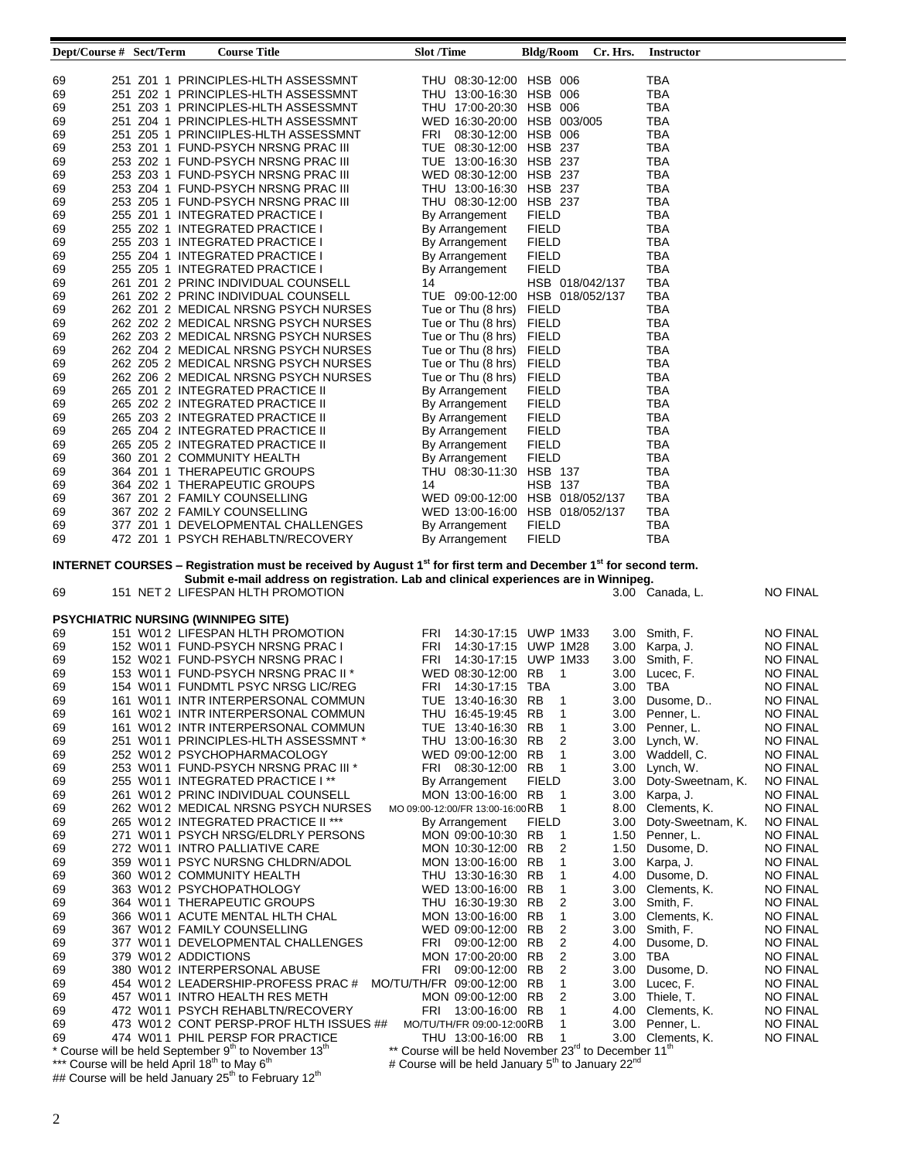| Dept/Course # Sect/Term                                               |                     | <b>Course Title</b>                                                                                                                     | <b>Slot</b> /Time                                                                                   | <b>Bldg/Room</b>                   | Cr. Hrs.          | <b>Instructor</b>      |                 |
|-----------------------------------------------------------------------|---------------------|-----------------------------------------------------------------------------------------------------------------------------------------|-----------------------------------------------------------------------------------------------------|------------------------------------|-------------------|------------------------|-----------------|
|                                                                       |                     |                                                                                                                                         |                                                                                                     |                                    |                   |                        |                 |
| 69                                                                    |                     | 251 Z01 1 PRINCIPLES-HLTH ASSESSMNT                                                                                                     | THU 08:30-12:00 HSB 006                                                                             |                                    |                   | TBA                    |                 |
| 69                                                                    |                     | 251 Z02 1 PRINCIPLES-HLTH ASSESSMNT                                                                                                     | THU 13:00-16:30 HSB 006                                                                             |                                    |                   | TBA                    |                 |
| 69                                                                    |                     | 251 Z03 1 PRINCIPLES-HLTH ASSESSMNT                                                                                                     | THU 17:00-20:30 HSB 006                                                                             |                                    |                   | TBA                    |                 |
| 69                                                                    |                     | 251 Z04 1 PRINCIPLES-HLTH ASSESSMNT                                                                                                     | WED 16:30-20:00 HSB 003/005                                                                         |                                    |                   | TBA                    |                 |
| 69                                                                    |                     | 251 Z05 1 PRINCIIPLES-HLTH ASSESSMNT                                                                                                    | 08:30-12:00 HSB 006<br>FRI                                                                          |                                    |                   | TBA                    |                 |
| 69                                                                    |                     | 253 Z01 1 FUND-PSYCH NRSNG PRAC III                                                                                                     | TUE 08:30-12:00 HSB 237                                                                             |                                    |                   | <b>TBA</b>             |                 |
| 69                                                                    |                     | 253 Z02 1 FUND-PSYCH NRSNG PRAC III                                                                                                     | TUE 13:00-16:30 HSB 237                                                                             |                                    |                   | TBA                    |                 |
| 69                                                                    |                     | 253 Z03 1 FUND-PSYCH NRSNG PRAC III                                                                                                     | WED 08:30-12:00 HSB 237                                                                             |                                    |                   | TBA                    |                 |
| 69                                                                    |                     | 253 Z04 1 FUND-PSYCH NRSNG PRAC III                                                                                                     | THU 13:00-16:30 HSB 237                                                                             |                                    |                   | TBA                    |                 |
| 69                                                                    |                     | 253 Z05 1 FUND-PSYCH NRSNG PRAC III                                                                                                     | THU 08:30-12:00                                                                                     | HSB 237                            |                   | <b>TBA</b>             |                 |
| 69                                                                    |                     | 255 Z01 1 INTEGRATED PRACTICE I                                                                                                         | By Arrangement                                                                                      | <b>FIELD</b>                       |                   | <b>TBA</b>             |                 |
| 69                                                                    |                     | 255 Z02 1 INTEGRATED PRACTICE I                                                                                                         | By Arrangement                                                                                      | <b>FIELD</b>                       |                   | <b>TBA</b>             |                 |
| 69                                                                    |                     | 255 Z03 1 INTEGRATED PRACTICE I                                                                                                         | By Arrangement                                                                                      | <b>FIELD</b>                       |                   | TBA                    |                 |
| 69                                                                    |                     | 255 Z04 1 INTEGRATED PRACTICE I                                                                                                         | By Arrangement                                                                                      | <b>FIELD</b>                       |                   | <b>TBA</b>             |                 |
| 69                                                                    |                     | 255 Z05 1 INTEGRATED PRACTICE I                                                                                                         | By Arrangement                                                                                      | <b>FIELD</b>                       |                   | TBA                    |                 |
| 69<br>69                                                              |                     | 261 Z01 2 PRINC INDIVIDUAL COUNSELL<br>261 Z02 2 PRINC INDIVIDUAL COUNSELL                                                              | 14<br>TUE 09:00-12:00                                                                               | HSB 018/042/137<br>HSB 018/052/137 |                   | TBA<br>TBA             |                 |
| 69                                                                    |                     | 262 Z01 2 MEDICAL NRSNG PSYCH NURSES                                                                                                    | Tue or Thu (8 hrs)                                                                                  | <b>FIELD</b>                       |                   | TBA                    |                 |
| 69                                                                    |                     | 262 Z02 2 MEDICAL NRSNG PSYCH NURSES                                                                                                    | Tue or Thu (8 hrs)                                                                                  | <b>FIELD</b>                       |                   | TBA                    |                 |
| 69                                                                    |                     | 262 Z03 2 MEDICAL NRSNG PSYCH NURSES                                                                                                    | Tue or Thu (8 hrs)                                                                                  | <b>FIELD</b>                       |                   | TBA                    |                 |
| 69                                                                    |                     | 262 Z04 2 MEDICAL NRSNG PSYCH NURSES                                                                                                    | Tue or Thu (8 hrs)                                                                                  | <b>FIELD</b>                       |                   | TBA                    |                 |
| 69                                                                    |                     | 262 Z05 2 MEDICAL NRSNG PSYCH NURSES                                                                                                    | Tue or Thu (8 hrs)                                                                                  | <b>FIELD</b>                       |                   | TBA                    |                 |
| 69                                                                    |                     | 262 Z06 2 MEDICAL NRSNG PSYCH NURSES                                                                                                    | Tue or Thu (8 hrs)                                                                                  | <b>FIELD</b>                       |                   | <b>TBA</b>             |                 |
| 69                                                                    |                     | 265 Z01 2 INTEGRATED PRACTICE II                                                                                                        | By Arrangement                                                                                      | <b>FIELD</b>                       |                   | TBA                    |                 |
| 69                                                                    |                     | 265 Z02 2 INTEGRATED PRACTICE II                                                                                                        | By Arrangement                                                                                      | <b>FIELD</b>                       |                   | TBA                    |                 |
| 69                                                                    |                     | 265 Z03 2 INTEGRATED PRACTICE II                                                                                                        | By Arrangement                                                                                      | <b>FIELD</b>                       |                   | TBA                    |                 |
| 69                                                                    |                     | 265 Z04 2 INTEGRATED PRACTICE II                                                                                                        | By Arrangement                                                                                      | <b>FIELD</b>                       |                   | <b>TBA</b>             |                 |
| 69                                                                    |                     | 265 Z05 2 INTEGRATED PRACTICE II                                                                                                        | By Arrangement                                                                                      | <b>FIELD</b>                       |                   | <b>TBA</b>             |                 |
| 69                                                                    |                     | 360 Z01 2 COMMUNITY HEALTH                                                                                                              | By Arrangement                                                                                      | <b>FIELD</b>                       |                   | <b>TBA</b>             |                 |
| 69                                                                    |                     | 364 Z01 1 THERAPEUTIC GROUPS                                                                                                            | THU 08:30-11:30                                                                                     | <b>HSB 137</b>                     |                   | TBA                    |                 |
| 69                                                                    |                     | 364 Z02 1 THERAPEUTIC GROUPS                                                                                                            | 14                                                                                                  | <b>HSB 137</b>                     |                   | TBA                    |                 |
| 69                                                                    |                     | 367 Z01 2 FAMILY COUNSELLING                                                                                                            | WED 09:00-12:00 HSB 018/052/137                                                                     |                                    |                   | TBA                    |                 |
| 69                                                                    |                     | 367 Z02 2 FAMILY COUNSELLING                                                                                                            | WED 13:00-16:00                                                                                     | HSB 018/052/137                    |                   | TBA                    |                 |
| 69                                                                    |                     | 377 Z01 1 DEVELOPMENTAL CHALLENGES                                                                                                      | By Arrangement                                                                                      | <b>FIELD</b>                       |                   | TBA                    |                 |
| 69                                                                    |                     | 472 Z01 1 PSYCH REHABLTN/RECOVERY                                                                                                       | By Arrangement                                                                                      | <b>FIELD</b>                       |                   | TBA                    |                 |
|                                                                       |                     |                                                                                                                                         |                                                                                                     |                                    |                   |                        |                 |
|                                                                       |                     | INTERNET COURSES - Registration must be received by August 1 <sup>st</sup> for first term and December 1 <sup>st</sup> for second term. |                                                                                                     |                                    |                   |                        |                 |
|                                                                       |                     | Submit e-mail address on registration. Lab and clinical experiences are in Winnipeg.                                                    |                                                                                                     |                                    |                   |                        |                 |
| 69                                                                    |                     | 151 NET 2 LIFESPAN HLTH PROMOTION                                                                                                       |                                                                                                     |                                    |                   | 3.00 Canada, L.        | <b>NO FINAL</b> |
|                                                                       |                     | <b>PSYCHIATRIC NURSING (WINNIPEG SITE)</b>                                                                                              |                                                                                                     |                                    |                   |                        |                 |
| 69                                                                    |                     | 151 W012 LIFESPAN HLTH PROMOTION                                                                                                        | FRI                                                                                                 | 14:30-17:15 UWP 1M33               | 3.00              | Smith, F.              | NO FINAL        |
| 69                                                                    |                     | 152 W011 FUND-PSYCH NRSNG PRAC I                                                                                                        | FRI                                                                                                 | 14:30-17:15 UWP 1M28               |                   | 3.00 Karpa, J.         | NO FINAL        |
| 69                                                                    |                     | 152 W021 FUND-PSYCH NRSNG PRAC I                                                                                                        | FRI 14:30-17:15 UWP 1M33                                                                            |                                    |                   | 3.00 Smith, F.         | <b>NO FINAL</b> |
| 69                                                                    |                     | 153 W011 FUND-PSYCH NRSNG PRAC II *                                                                                                     | WED 08:30-12:00 RB                                                                                  | 1                                  |                   | 3.00 Lucec, F.         | NO FINAL        |
| 69                                                                    |                     | 154 W011 FUNDMTL PSYC NRSG LIC/REG                                                                                                      | FRI<br>14:30-17:15 TBA                                                                              |                                    | 3.00 TBA          |                        | <b>NO FINAL</b> |
| 69                                                                    |                     | 161 W011 INTR INTERPERSONAL COMMUN                                                                                                      | TUE 13:40-16:30 RB 1                                                                                |                                    |                   | 3.00 Dusome, D         | <b>NO FINAL</b> |
| 69                                                                    |                     | 161 W021 INTR INTERPERSONAL COMMUN                                                                                                      | THU 16:45-19:45 RB                                                                                  | 1                                  |                   | 3.00 Penner, L.        | <b>NO FINAL</b> |
| 69                                                                    |                     | 161 W012 INTR INTERPERSONAL COMMUN                                                                                                      | TUE 13:40-16:30 RB                                                                                  | 1                                  |                   | 3.00 Penner, L.        | NO FINAL        |
| 69                                                                    |                     | 251 W011 PRINCIPLES-HLTH ASSESSMNT*                                                                                                     | THU 13:00-16:30 RB                                                                                  | 2                                  |                   | 3.00 Lynch, W.         | NO FINAL        |
| 69                                                                    |                     | 252 W012 PSYCHOPHARMACOLOGY                                                                                                             | WED 09:00-12:00 RB                                                                                  | 1                                  |                   | 3.00 Waddell, C.       | NO FINAL        |
| 69                                                                    |                     | 253 W011 FUND-PSYCH NRSNG PRAC III *                                                                                                    | FRI 08:30-12:00 RB                                                                                  | 1                                  |                   | 3.00 Lynch, W.         | NO FINAL        |
| 69                                                                    |                     | 255 W01 1 INTEGRATED PRACTICE I **                                                                                                      | By Arrangement                                                                                      | <b>FIELD</b>                       |                   | 3.00 Doty-Sweetnam, K. | NO FINAL        |
| 69                                                                    |                     | 261 W012 PRINC INDIVIDUAL COUNSELL                                                                                                      | MON 13:00-16:00 RB                                                                                  | -1                                 |                   | 3.00 Karpa, J.         | NO FINAL        |
| 69                                                                    |                     | 262 W012 MEDICAL NRSNG PSYCH NURSES                                                                                                     | MO 09:00-12:00/FR 13:00-16:00 RB                                                                    | 1                                  |                   | 8.00 Clements, K.      | NO FINAL        |
| 69                                                                    |                     | 265 W01 2 INTEGRATED PRACTICE II ***                                                                                                    | By Arrangement                                                                                      | <b>FIELD</b>                       | 3.00 <sub>1</sub> | Doty-Sweetnam, K.      | NO FINAL        |
| 69                                                                    |                     | 271 W011 PSYCH NRSG/ELDRLY PERSONS                                                                                                      | MON 09:00-10:30 RB                                                                                  | 1                                  | 1.50              | Penner, L.             | NO FINAL        |
| 69                                                                    |                     | 272 W011 INTRO PALLIATIVE CARE                                                                                                          | MON 10:30-12:00 RB                                                                                  | 2                                  | 1.50              | Dusome, D.             | NO FINAL        |
| 69                                                                    |                     | 359 W011 PSYC NURSNG CHLDRN/ADOL                                                                                                        | MON 13:00-16:00 RB                                                                                  | 1                                  |                   | 3.00 Karpa, J.         | NO FINAL        |
| 69                                                                    |                     | 360 W012 COMMUNITY HEALTH                                                                                                               | THU 13:30-16:30 RB                                                                                  | 1                                  |                   | 4.00 Dusome, D.        | NO FINAL        |
| 69                                                                    |                     | 363 W012 PSYCHOPATHOLOGY                                                                                                                | WED 13:00-16:00 RB                                                                                  | 1                                  |                   | 3.00 Clements, K.      | <b>NO FINAL</b> |
| 69                                                                    |                     | 364 W011 THERAPEUTIC GROUPS                                                                                                             | THU 16:30-19:30 RB                                                                                  | 2                                  |                   | 3.00 Smith, F.         | NO FINAL        |
| 69                                                                    |                     | 366 W011 ACUTE MENTAL HLTH CHAL                                                                                                         | MON 13:00-16:00 RB                                                                                  | 1                                  |                   | 3.00 Clements, K.      | <b>NO FINAL</b> |
| 69                                                                    |                     | 367 W012 FAMILY COUNSELLING                                                                                                             | WED 09:00-12:00 RB                                                                                  | 2                                  |                   | 3.00 Smith, F.         | NO FINAL        |
| 69                                                                    |                     | 377 W011 DEVELOPMENTAL CHALLENGES                                                                                                       | FRI 09:00-12:00 RB                                                                                  | 2                                  |                   | 4.00 Dusome, D.        | NO FINAL        |
| 69                                                                    | 379 W012 ADDICTIONS |                                                                                                                                         | MON 17:00-20:00 RB                                                                                  | 2                                  |                   | 3.00 TBA               | NO FINAL        |
| 69                                                                    |                     | 380 W012 INTERPERSONAL ABUSE                                                                                                            | FRI 09:00-12:00 RB                                                                                  | 2                                  |                   | 3.00 Dusome, D.        | NO FINAL        |
| 69                                                                    |                     | 454 W012 LEADERSHIP-PROFESS PRAC#                                                                                                       | MO/TU/TH/FR 09:00-12:00 RB                                                                          | 1                                  |                   | 3.00 Lucec, F.         | NO FINAL        |
| 69                                                                    |                     | 457 W011 INTRO HEALTH RES METH                                                                                                          | MON 09:00-12:00 RB                                                                                  | 2                                  |                   | 3.00 Thiele, T.        | NO FINAL        |
| 69                                                                    |                     | 472 W011 PSYCH REHABLTN/RECOVERY                                                                                                        | FRI 13:00-16:00 RB                                                                                  | 1                                  |                   | 4.00 Clements, K.      | <b>NO FINAL</b> |
| 69                                                                    |                     | 473 W012 CONT PERSP-PROF HLTH ISSUES ##                                                                                                 | MO/TU/TH/FR 09:00-12:00RB                                                                           | 1                                  |                   | 3.00 Penner, L.        | NO FINAL        |
| 69                                                                    |                     | 474 W011 PHIL PERSP FOR PRACTICE                                                                                                        | THU 13:00-16:00 RB<br>** Course will be held November 23 <sup>rd</sup> to December 11 <sup>th</sup> | 1                                  |                   | 3.00 Clements, K.      | NO FINAL        |
| *** Course will be held April 18 <sup>th</sup> to May 6 <sup>th</sup> |                     | * Course will be held September 9 <sup>th</sup> to November 13 <sup>th</sup>                                                            | # Course will be held January 5 <sup>th</sup> to January 22 <sup>nd</sup>                           |                                    |                   |                        |                 |
|                                                                       |                     | ## Course will be held January 25 <sup>th</sup> to February 12 <sup>th</sup>                                                            |                                                                                                     |                                    |                   |                        |                 |
|                                                                       |                     |                                                                                                                                         |                                                                                                     |                                    |                   |                        |                 |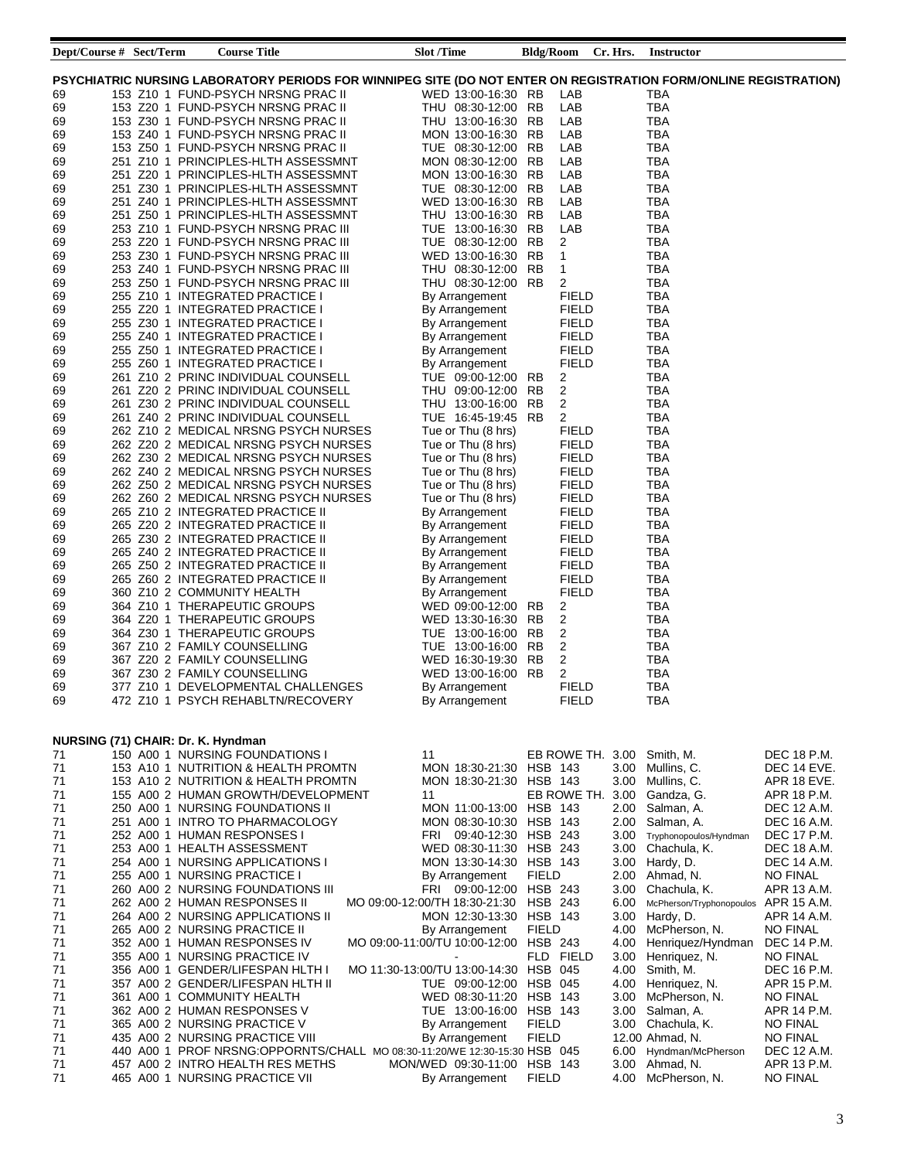| Dept/Course # Sect/Term |  | <b>Course Title</b>                                                                                              | <b>Slot /Time</b>                         |                | Bldg/Room Cr. Hrs.    | <b>Instructor</b>           |                                |
|-------------------------|--|------------------------------------------------------------------------------------------------------------------|-------------------------------------------|----------------|-----------------------|-----------------------------|--------------------------------|
|                         |  |                                                                                                                  |                                           |                |                       |                             |                                |
|                         |  | PSYCHIATRIC NURSING LABORATORY PERIODS FOR WINNIPEG SITE (DO NOT ENTER ON REGISTRATION FORM/ONLINE REGISTRATION) |                                           |                |                       |                             |                                |
| 69                      |  | 153 Z10 1 FUND-PSYCH NRSNG PRAC II                                                                               | WED 13:00-16:30 RB                        |                | LAB                   | TBA                         |                                |
| 69                      |  | 153 Z20 1 FUND-PSYCH NRSNG PRAC II                                                                               | THU 08:30-12:00 RB                        |                | LAB                   | TBA                         |                                |
| 69                      |  | 153 Z30 1 FUND-PSYCH NRSNG PRAC II                                                                               | THU 13:00-16:30 RB                        |                | LAB                   | TBA                         |                                |
| 69                      |  | 153 Z40 1 FUND-PSYCH NRSNG PRAC II                                                                               | MON 13:00-16:30 RB                        |                | LAB                   | <b>TBA</b>                  |                                |
| 69                      |  | 153 Z50 1 FUND-PSYCH NRSNG PRAC II                                                                               | TUE 08:30-12:00 RB                        |                | LAB                   | <b>TBA</b><br><b>TBA</b>    |                                |
| 69                      |  | 251 Z10 1 PRINCIPLES-HLTH ASSESSMNT<br>251 Z20 1 PRINCIPLES-HLTH ASSESSMNT                                       | MON 08:30-12:00 RB<br>MON 13:00-16:30 RB  |                | LAB<br>LAB            | <b>TBA</b>                  |                                |
| 69<br>69                |  | 251 Z30 1 PRINCIPLES-HLTH ASSESSMNT                                                                              | TUE 08:30-12:00 RB                        |                | LAB                   | <b>TBA</b>                  |                                |
| 69                      |  | 251 Z40 1 PRINCIPLES-HLTH ASSESSMNT                                                                              | WED 13:00-16:30 RB                        |                | LAB                   | <b>TBA</b>                  |                                |
| 69                      |  | 251 Z50 1 PRINCIPLES-HLTH ASSESSMNT                                                                              | THU 13:00-16:30 RB                        |                | LAB                   | <b>TBA</b>                  |                                |
| 69                      |  | 253 Z10 1 FUND-PSYCH NRSNG PRAC III                                                                              | TUE 13:00-16:30 RB                        |                | LAB                   | <b>TBA</b>                  |                                |
| 69                      |  | 253 Z20 1 FUND-PSYCH NRSNG PRAC III                                                                              | TUE 08:30-12:00 RB                        | $\overline{c}$ |                       | <b>TBA</b>                  |                                |
| 69                      |  | 253 Z30 1 FUND-PSYCH NRSNG PRAC III                                                                              | WED 13:00-16:30 RB                        | 1              |                       | <b>TBA</b>                  |                                |
| 69                      |  | 253 Z40 1 FUND-PSYCH NRSNG PRAC III                                                                              | THU 08:30-12:00 RB                        | 1              |                       | <b>TBA</b>                  |                                |
| 69                      |  | 253 Z50 1 FUND-PSYCH NRSNG PRAC III                                                                              | THU 08:30-12:00 RB                        | 2              |                       | TBA                         |                                |
| 69                      |  | 255 Z10 1 INTEGRATED PRACTICE I                                                                                  | By Arrangement                            |                | FIELD                 | TBA                         |                                |
| 69                      |  | 255 Z20 1 INTEGRATED PRACTICE I                                                                                  | By Arrangement                            |                | <b>FIELD</b>          | TBA                         |                                |
| 69                      |  | 255 Z30 1 INTEGRATED PRACTICE I                                                                                  | By Arrangement                            |                | <b>FIELD</b>          | TBA                         |                                |
| 69                      |  | 255 Z40 1 INTEGRATED PRACTICE I                                                                                  | By Arrangement                            |                | <b>FIELD</b>          | <b>TBA</b>                  |                                |
| 69                      |  | 255 Z50 1 INTEGRATED PRACTICE I                                                                                  | By Arrangement                            |                | <b>FIELD</b>          | <b>TBA</b>                  |                                |
| 69                      |  | 255 Z60 1 INTEGRATED PRACTICE I                                                                                  | By Arrangement                            |                | <b>FIELD</b>          | <b>TBA</b>                  |                                |
| 69                      |  | 261 Z10 2 PRINC INDIVIDUAL COUNSELL                                                                              | TUE 09:00-12:00 RB                        | 2              |                       | <b>TBA</b>                  |                                |
| 69                      |  | 261 Z20 2 PRINC INDIVIDUAL COUNSELL                                                                              | THU 09:00-12:00 RB                        | 2              |                       | <b>TBA</b>                  |                                |
| 69                      |  | 261 Z30 2 PRINC INDIVIDUAL COUNSELL                                                                              | THU 13:00-16:00 RB                        | 2              |                       | <b>TBA</b>                  |                                |
| 69                      |  | 261 Z40 2 PRINC INDIVIDUAL COUNSELL                                                                              | TUE 16:45-19:45 RB                        | 2              |                       | <b>TBA</b>                  |                                |
| 69                      |  | 262 Z10 2 MEDICAL NRSNG PSYCH NURSES                                                                             | Tue or Thu (8 hrs)<br>Tue or Thu (8 hrs)  |                | <b>FIELD</b>          | <b>TBA</b><br><b>TBA</b>    |                                |
| 69<br>69                |  | 262 Z20 2 MEDICAL NRSNG PSYCH NURSES<br>262 Z30 2 MEDICAL NRSNG PSYCH NURSES                                     | Tue or Thu (8 hrs)                        |                | FIELD<br><b>FIELD</b> | <b>TBA</b>                  |                                |
| 69                      |  | 262 Z40 2 MEDICAL NRSNG PSYCH NURSES                                                                             | Tue or Thu (8 hrs)                        |                | <b>FIELD</b>          | <b>TBA</b>                  |                                |
| 69                      |  | 262 Z50 2 MEDICAL NRSNG PSYCH NURSES                                                                             | Tue or Thu (8 hrs)                        |                | <b>FIELD</b>          | TBA                         |                                |
| 69                      |  | 262 Z60 2 MEDICAL NRSNG PSYCH NURSES                                                                             | Tue or Thu (8 hrs)                        |                | <b>FIELD</b>          | TBA                         |                                |
| 69                      |  | 265 Z10 2 INTEGRATED PRACTICE II                                                                                 | By Arrangement                            |                | <b>FIELD</b>          | TBA                         |                                |
| 69                      |  | 265 Z20 2 INTEGRATED PRACTICE II                                                                                 | By Arrangement                            |                | <b>FIELD</b>          | TBA                         |                                |
| 69                      |  | 265 Z30 2 INTEGRATED PRACTICE II                                                                                 | By Arrangement                            |                | <b>FIELD</b>          | <b>TBA</b>                  |                                |
| 69                      |  | 265 Z40 2 INTEGRATED PRACTICE II                                                                                 | By Arrangement                            |                | <b>FIELD</b>          | <b>TBA</b>                  |                                |
| 69                      |  | 265 Z50 2 INTEGRATED PRACTICE II                                                                                 | By Arrangement                            |                | <b>FIELD</b>          | <b>TBA</b>                  |                                |
| 69                      |  | 265 Z60 2 INTEGRATED PRACTICE II                                                                                 | By Arrangement                            |                | <b>FIELD</b>          | <b>TBA</b>                  |                                |
| 69                      |  | 360 Z10 2 COMMUNITY HEALTH                                                                                       | By Arrangement                            |                | <b>FIELD</b>          | <b>TBA</b>                  |                                |
| 69                      |  | 364 Z10 1 THERAPEUTIC GROUPS                                                                                     | WED 09:00-12:00 RB                        | 2              |                       | TBA                         |                                |
| 69                      |  | 364 Z20 1 THERAPEUTIC GROUPS                                                                                     | WED 13:30-16:30 RB                        | $\overline{2}$ |                       | <b>TBA</b>                  |                                |
| 69                      |  | 364 Z30 1 THERAPEUTIC GROUPS                                                                                     | TUE 13:00-16:00 RB                        | $\overline{2}$ |                       | <b>TBA</b>                  |                                |
| 69                      |  | 367 Z10 2 FAMILY COUNSELLING                                                                                     | TUE 13:00-16:00 RB                        | $\overline{2}$ |                       | <b>TBA</b>                  |                                |
| 69                      |  | 367 Z20 2 FAMILY COUNSELLING                                                                                     | WED 16:30-19:30 RB                        | $\overline{c}$ |                       | <b>TBA</b>                  |                                |
| 69                      |  | 367 Z30 2 FAMILY COUNSELLING                                                                                     | WED 13:00-16:00 RB                        | 2              |                       | TBA                         |                                |
| 69<br>69                |  | 377 Z10 1 DEVELOPMENTAL CHALLENGES<br>472 Z10 1 PSYCH REHABLTN/RECOVERY                                          | By Arrangement                            |                | FIELD<br><b>FIELD</b> | TBA<br><b>TBA</b>           |                                |
|                         |  |                                                                                                                  | By Arrangement                            |                |                       |                             |                                |
|                         |  |                                                                                                                  |                                           |                |                       |                             |                                |
|                         |  | NURSING (71) CHAIR: Dr. K. Hyndman                                                                               |                                           |                |                       |                             |                                |
| 71                      |  | 150 A00 1 NURSING FOUNDATIONS I                                                                                  | 11                                        |                | EB ROWE TH. 3.00      | Smith, M.                   | DEC 18 P.M.                    |
| 71                      |  | 153 A10 1 NUTRITION & HEALTH PROMTN                                                                              | MON 18:30-21:30 HSB 143                   |                | 3.00                  | Mullins, C.                 | DEC 14 EVE.                    |
| 71                      |  | 153 A10 2 NUTRITION & HEALTH PROMTN                                                                              | MON 18:30-21:30 HSB 143                   |                | 3.00                  | Mullins, C.                 | APR 18 EVE.                    |
| 71                      |  | 155 A00 2 HUMAN GROWTH/DEVELOPMENT                                                                               | 11                                        |                | EB ROWE TH. 3.00      | Gandza, G.                  | APR 18 P.M.                    |
| 71                      |  | 250 A00 1 NURSING FOUNDATIONS II                                                                                 | MON 11:00-13:00 HSB 143                   |                | 2.00                  | Salman, A.                  | DEC 12 A.M.                    |
| 71                      |  | 251 A00 1 INTRO TO PHARMACOLOGY                                                                                  | MON 08:30-10:30 HSB 143                   |                | 2.00                  | Salman, A.                  | DEC 16 A.M.                    |
| 71                      |  | 252 A00 1 HUMAN RESPONSES I                                                                                      | 09:40-12:30 HSB 243<br>FRI                |                | 3.00                  | Tryphonopoulos/Hyndman      | DEC 17 P.M.                    |
| 71                      |  | 253 A00 1 HEALTH ASSESSMENT                                                                                      | WED 08:30-11:30 HSB 243                   |                | 3.00                  | Chachula, K.                | DEC 18 A.M.                    |
| 71<br>71                |  | 254 A00 1 NURSING APPLICATIONS I<br>255 A00 1 NURSING PRACTICE I                                                 | MON 13:30-14:30 HSB 143<br>By Arrangement | <b>FIELD</b>   | 3.00 <sub>1</sub>     | Hardy, D.<br>2.00 Ahmad, N. | DEC 14 A.M.<br><b>NO FINAL</b> |
| 71                      |  | 260 A00 2 NURSING FOUNDATIONS III                                                                                | FRI 09:00-12:00 HSB 243                   |                | 3.00                  | Chachula, K.                | APR 13 A.M.                    |
| 71                      |  | 262 A00 2 HUMAN RESPONSES II                                                                                     | MO 09:00-12:00/TH 18:30-21:30 HSB 243     |                | 6.00                  | McPherson/Tryphonopoulos    | APR 15 A.M.                    |
| 71                      |  | 264 A00 2 NURSING APPLICATIONS II                                                                                | MON 12:30-13:30 HSB 143                   |                | 3.00                  | Hardy, D.                   | APR 14 A.M.                    |
| 71                      |  | 265 A00 2 NURSING PRACTICE II                                                                                    | By Arrangement                            | <b>FIELD</b>   | 4.00                  | McPherson, N.               | <b>NO FINAL</b>                |
| 71                      |  | 352 A00 1 HUMAN RESPONSES IV                                                                                     | MO 09:00-11:00/TU 10:00-12:00 HSB 243     |                | 4.00                  | Henriquez/Hyndman           | DEC 14 P.M.                    |
| 71                      |  | 355 A00 1 NURSING PRACTICE IV                                                                                    |                                           | FLD FIELD      |                       | 3.00 Henriquez, N.          | <b>NO FINAL</b>                |
| 71                      |  | 356 A00 1 GENDER/LIFESPAN HLTH I                                                                                 | MO 11:30-13:00/TU 13:00-14:30 HSB 045     |                | 4.00                  | Smith, M.                   | DEC 16 P.M.                    |
| 71                      |  | 357 A00 2 GENDER/LIFESPAN HLTH II                                                                                | TUE 09:00-12:00 HSB 045                   |                |                       | 4.00 Henriquez, N.          | APR 15 P.M.                    |
| 71                      |  | 361 A00 1 COMMUNITY HEALTH                                                                                       | WED 08:30-11:20 HSB 143                   |                | 3.00                  | McPherson, N.               | <b>NO FINAL</b>                |
| 71                      |  | 362 A00 2 HUMAN RESPONSES V                                                                                      | TUE 13:00-16:00 HSB 143                   |                | 3.00                  | Salman, A.                  | APR 14 P.M.                    |
| 71                      |  | 365 A00 2 NURSING PRACTICE V                                                                                     | By Arrangement                            | <b>FIELD</b>   | 3.00                  | Chachula, K.                | <b>NO FINAL</b>                |
| 71                      |  | 435 A00 2 NURSING PRACTICE VIII                                                                                  | By Arrangement                            | <b>FIELD</b>   |                       | 12.00 Ahmad, N.             | <b>NO FINAL</b>                |
| 71                      |  | 440 A00 1 PROF NRSNG: OPPORNTS/CHALL MO 08:30-11:20/WE 12:30-15:30 HSB 045                                       |                                           |                | 6.00                  | Hyndman/McPherson           | DEC 12 A.M.                    |
| 71                      |  | 457 A00 2 INTRO HEALTH RES METHS                                                                                 | MON/WED 09:30-11:00 HSB 143               |                | 3.00                  | Ahmad, N.                   | APR 13 P.M.                    |
| 71                      |  | 465 A00 1 NURSING PRACTICE VII                                                                                   | By Arrangement                            | <b>FIELD</b>   | 4.00                  | McPherson, N.               | <b>NO FINAL</b>                |